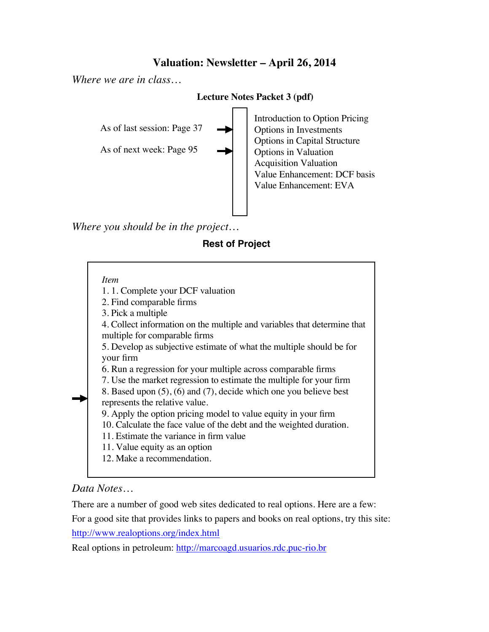# **Valuation: Newsletter – April 26, 2014**

*Where we are in class…*

#### **Lecture Notes Packet 3 (pdf)**

As of last session: Page 37

As of next week: Page 95

Introduction to Option Pricing Options in Investments Options in Capital Structure Options in Valuation Acquisition Valuation Value Enhancement: DCF basis Value Enhancement: EVA

*Where you should be in the project…*

### **Rest of Project**

### *Item*

1. 1. Complete your DCF valuation

2. Find comparable firms

3. Pick a multiple

4. Collect information on the multiple and variables that determine that multiple for comparable firms

5. Develop as subjective estimate of what the multiple should be for your firm

6. Run a regression for your multiple across comparable firms

7. Use the market regression to estimate the multiple for your firm

8. Based upon (5), (6) and (7), decide which one you believe best represents the relative value.

9. Apply the option pricing model to value equity in your firm

10. Calculate the face value of the debt and the weighted duration.

11. Estimate the variance in firm value

11. Value equity as an option

12. Make a recommendation.

# *Data Notes…*

There are a number of good web sites dedicated to real options. Here are a few:

For a good site that provides links to papers and books on real options, try this site: http://www.realoptions.org/index.html

Real options in petroleum: http://marcoagd.usuarios.rdc.puc-rio.br